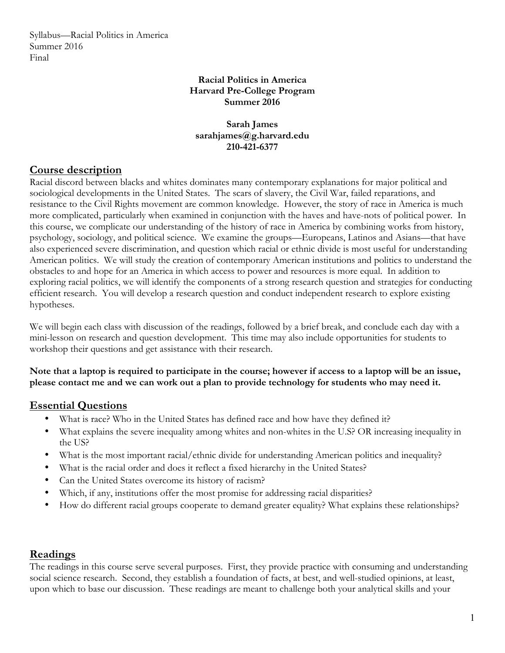Syllabus—Racial Politics in America Summer 2016 Final

### **Racial Politics in America Harvard Pre-College Program Summer 2016**

### **Sarah James sarahjames@g.harvard.edu 210-421-6377**

# **Course description**

Racial discord between blacks and whites dominates many contemporary explanations for major political and sociological developments in the United States. The scars of slavery, the Civil War, failed reparations, and resistance to the Civil Rights movement are common knowledge. However, the story of race in America is much more complicated, particularly when examined in conjunction with the haves and have-nots of political power. In this course, we complicate our understanding of the history of race in America by combining works from history, psychology, sociology, and political science. We examine the groups—Europeans, Latinos and Asians—that have also experienced severe discrimination, and question which racial or ethnic divide is most useful for understanding American politics. We will study the creation of contemporary American institutions and politics to understand the obstacles to and hope for an America in which access to power and resources is more equal. In addition to exploring racial politics, we will identify the components of a strong research question and strategies for conducting efficient research. You will develop a research question and conduct independent research to explore existing hypotheses.

We will begin each class with discussion of the readings, followed by a brief break, and conclude each day with a mini-lesson on research and question development. This time may also include opportunities for students to workshop their questions and get assistance with their research.

**Note that a laptop is required to participate in the course; however if access to a laptop will be an issue, please contact me and we can work out a plan to provide technology for students who may need it.**

# **Essential Questions**

- What is race? Who in the United States has defined race and how have they defined it?
- What explains the severe inequality among whites and non-whites in the U.S? OR increasing inequality in the US?
- What is the most important racial/ethnic divide for understanding American politics and inequality?
- What is the racial order and does it reflect a fixed hierarchy in the United States?
- Can the United States overcome its history of racism?
- Which, if any, institutions offer the most promise for addressing racial disparities?
- How do different racial groups cooperate to demand greater equality? What explains these relationships?

# **Readings**

The readings in this course serve several purposes. First, they provide practice with consuming and understanding social science research. Second, they establish a foundation of facts, at best, and well-studied opinions, at least, upon which to base our discussion. These readings are meant to challenge both your analytical skills and your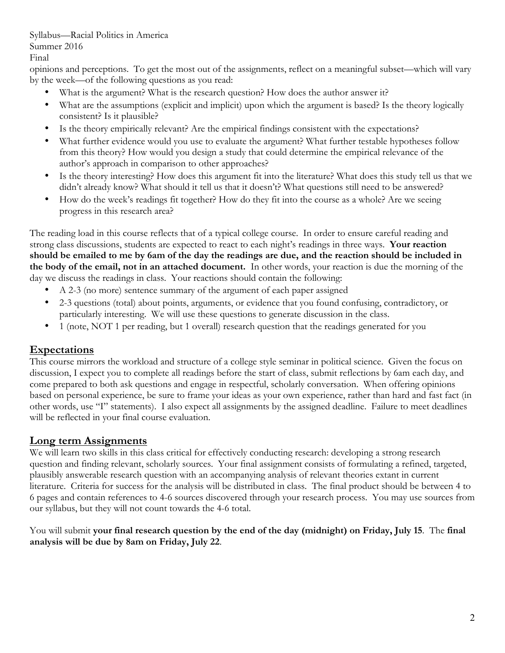#### Syllabus—Racial Politics in America Summer 2016

Final

opinions and perceptions. To get the most out of the assignments, reflect on a meaningful subset—which will vary by the week—of the following questions as you read:

- What is the argument? What is the research question? How does the author answer it?
- What are the assumptions (explicit and implicit) upon which the argument is based? Is the theory logically consistent? Is it plausible?
- Is the theory empirically relevant? Are the empirical findings consistent with the expectations?
- What further evidence would you use to evaluate the argument? What further testable hypotheses follow from this theory? How would you design a study that could determine the empirical relevance of the author's approach in comparison to other approaches?
- Is the theory interesting? How does this argument fit into the literature? What does this study tell us that we didn't already know? What should it tell us that it doesn't? What questions still need to be answered?
- How do the week's readings fit together? How do they fit into the course as a whole? Are we seeing progress in this research area?

The reading load in this course reflects that of a typical college course. In order to ensure careful reading and strong class discussions, students are expected to react to each night's readings in three ways. **Your reaction should be emailed to me by 6am of the day the readings are due, and the reaction should be included in the body of the email, not in an attached document.** In other words, your reaction is due the morning of the day we discuss the readings in class. Your reactions should contain the following:

- A 2-3 (no more) sentence summary of the argument of each paper assigned
- 2-3 questions (total) about points, arguments, or evidence that you found confusing, contradictory, or particularly interesting. We will use these questions to generate discussion in the class.
- 1 (note, NOT 1 per reading, but 1 overall) research question that the readings generated for you

# **Expectations**

This course mirrors the workload and structure of a college style seminar in political science. Given the focus on discussion, I expect you to complete all readings before the start of class, submit reflections by 6am each day, and come prepared to both ask questions and engage in respectful, scholarly conversation. When offering opinions based on personal experience, be sure to frame your ideas as your own experience, rather than hard and fast fact (in other words, use "I" statements). I also expect all assignments by the assigned deadline. Failure to meet deadlines will be reflected in your final course evaluation.

# **Long term Assignments**

We will learn two skills in this class critical for effectively conducting research: developing a strong research question and finding relevant, scholarly sources. Your final assignment consists of formulating a refined, targeted, plausibly answerable research question with an accompanying analysis of relevant theories extant in current literature. Criteria for success for the analysis will be distributed in class. The final product should be between 4 to 6 pages and contain references to 4-6 sources discovered through your research process. You may use sources from our syllabus, but they will not count towards the 4-6 total.

### You will submit **your final research question by the end of the day (midnight) on Friday, July 15**. The **final analysis will be due by 8am on Friday, July 22**.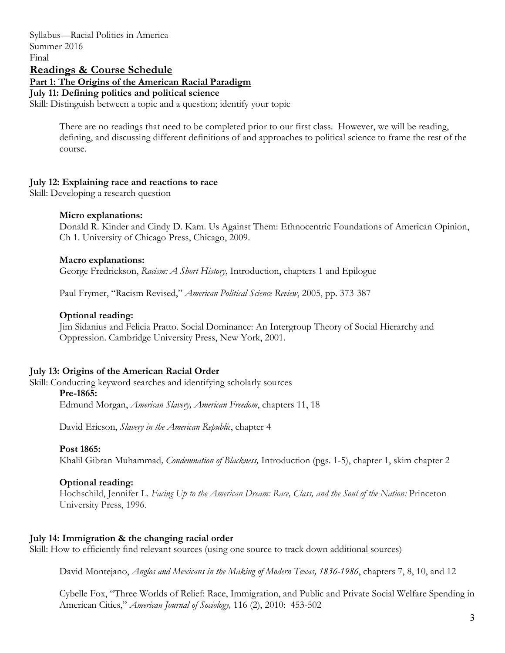Syllabus—Racial Politics in America Summer 2016 Final **Readings & Course Schedule Part 1: The Origins of the American Racial Paradigm July 11: Defining politics and political science** Skill: Distinguish between a topic and a question; identify your topic

> There are no readings that need to be completed prior to our first class. However, we will be reading, defining, and discussing different definitions of and approaches to political science to frame the rest of the course.

### **July 12: Explaining race and reactions to race**

Skill: Developing a research question

#### **Micro explanations:**

Donald R. Kinder and Cindy D. Kam. Us Against Them: Ethnocentric Foundations of American Opinion, Ch 1. University of Chicago Press, Chicago, 2009.

#### **Macro explanations:**

George Fredrickson, *Racism: A Short History*, Introduction, chapters 1 and Epilogue

Paul Frymer, "Racism Revised," *American Political Science Review*, 2005, pp. 373-387

#### **Optional reading:**

Jim Sidanius and Felicia Pratto. Social Dominance: An Intergroup Theory of Social Hierarchy and Oppression. Cambridge University Press, New York, 2001.

#### **July 13: Origins of the American Racial Order**

Skill: Conducting keyword searches and identifying scholarly sources

#### **Pre-1865:**

Edmund Morgan, *American Slavery, American Freedom*, chapters 11, 18

David Ericson, *Slavery in the American Republic*, chapter 4

#### **Post 1865:**

Khalil Gibran Muhammad*, Condemnation of Blackness,* Introduction (pgs. 1-5), chapter 1, skim chapter 2

#### **Optional reading:**

Hochschild, Jennifer L. *Facing Up to the American Dream: Race, Class, and the Soul of the Nation:* Princeton University Press, 1996.

#### **July 14: Immigration & the changing racial order**

Skill: How to efficiently find relevant sources (using one source to track down additional sources)

David Montejano, *Anglos and Mexicans in the Making of Modern Texas, 1836-1986*, chapters 7, 8, 10, and 12

Cybelle Fox, "Three Worlds of Relief: Race, Immigration, and Public and Private Social Welfare Spending in American Cities," *American Journal of Sociology,* 116 (2), 2010: 453-502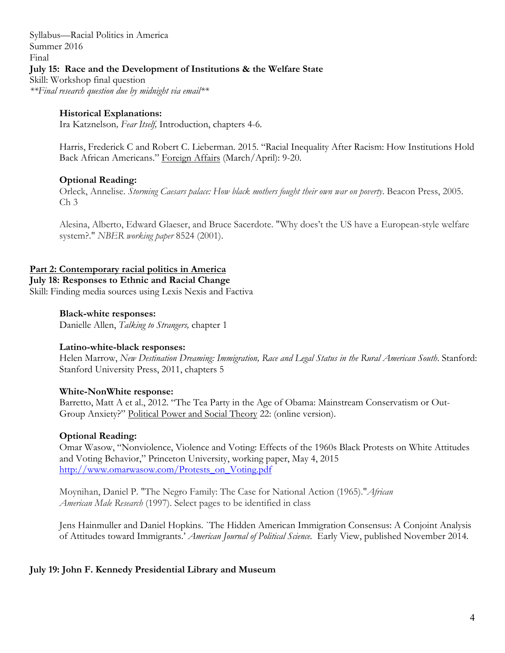Syllabus—Racial Politics in America Summer 2016 Final **July 15: Race and the Development of Institutions & the Welfare State** Skill: Workshop final question *\*\*Final research question due by midnight via email\*\**

### **Historical Explanations:**

Ira Katznelson*, Fear Itself,* Introduction, chapters 4-6*.*

Harris, Frederick C and Robert C. Lieberman. 2015. "Racial Inequality After Racism: How Institutions Hold Back African Americans." Foreign Affairs (March/April): 9-20.

### **Optional Reading:**

Orleck, Annelise. *Storming Caesars palace: How black mothers fought their own war on poverty*. Beacon Press, 2005. Ch 3

Alesina, Alberto, Edward Glaeser, and Bruce Sacerdote. "Why does't the US have a European-style welfare system?." *NBER working paper* 8524 (2001).

### **Part 2: Contemporary racial politics in America**

**July 18: Responses to Ethnic and Racial Change**  Skill: Finding media sources using Lexis Nexis and Factiva

#### **Black-white responses:**

Danielle Allen, *Talking to Strangers,* chapter 1

### **Latino-white-black responses:**

Helen Marrow, *New Destination Dreaming: Immigration, Race and Legal Status in the Rural American South*. Stanford: Stanford University Press, 2011, chapters 5

### **White-NonWhite response:**

Barretto, Matt A et al., 2012. "The Tea Party in the Age of Obama: Mainstream Conservatism or Out-Group Anxiety?" Political Power and Social Theory 22: (online version).

### **Optional Reading:**

Omar Wasow, "Nonviolence, Violence and Voting: Effects of the 1960s Black Protests on White Attitudes and Voting Behavior," Princeton University, working paper, May 4, 2015 http://www.omarwasow.com/Protests\_on\_Voting.pdf

Moynihan, Daniel P. "The Negro Family: The Case for National Action (1965)."*African American Male Research* (1997). Select pages to be identified in class

Jens Hainmuller and Daniel Hopkins. `The Hidden American Immigration Consensus: A Conjoint Analysis of Attitudes toward Immigrants.' *American Journal of Political Science.* Early View, published November 2014.

### **July 19: John F. Kennedy Presidential Library and Museum**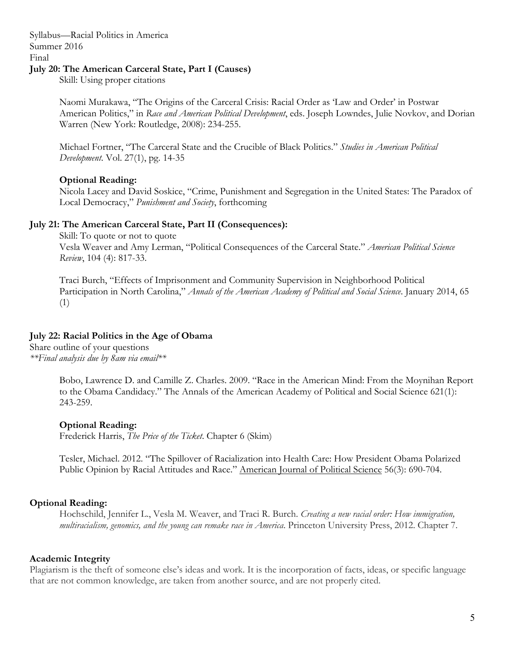Syllabus—Racial Politics in America Summer 2016 Final

### **July 20: The American Carceral State, Part I (Causes)**

Skill: Using proper citations

Naomi Murakawa, "The Origins of the Carceral Crisis: Racial Order as 'Law and Order' in Postwar American Politics," in *Race and American Political Development*, eds. Joseph Lowndes, Julie Novkov, and Dorian Warren (New York: Routledge, 2008): 234-255.

Michael Fortner, "The Carceral State and the Crucible of Black Politics." *Studies in American Political Development*. Vol. 27(1), pg. 14-35

#### **Optional Reading:**

Nicola Lacey and David Soskice, "Crime, Punishment and Segregation in the United States: The Paradox of Local Democracy," *Punishment and Society*, forthcoming

#### **July 21: The American Carceral State, Part II (Consequences):**

Skill: To quote or not to quote Vesla Weaver and Amy Lerman, "Political Consequences of the Carceral State." *American Political Science Review*, 104 (4): 817-33.

Traci Burch, "Effects of Imprisonment and Community Supervision in Neighborhood Political Participation in North Carolina," *Annals of the American Academy of Political and Social Science*. January 2014, 65 (1)

### **July 22: Racial Politics in the Age of Obama**

Share outline of your questions *\*\*Final analysis due by 8am via email\*\**

> Bobo, Lawrence D. and Camille Z. Charles. 2009. "Race in the American Mind: From the Moynihan Report to the Obama Candidacy." The Annals of the American Academy of Political and Social Science 621(1): 243-259.

#### **Optional Reading:**

Frederick Harris, *The Price of the Ticket*. Chapter 6 (Skim)

Tesler, Michael. 2012. "The Spillover of Racialization into Health Care: How President Obama Polarized Public Opinion by Racial Attitudes and Race." American Journal of Political Science 56(3): 690-704.

### **Optional Reading:**

Hochschild, Jennifer L., Vesla M. Weaver, and Traci R. Burch. *Creating a new racial order: How immigration, multiracialism, genomics, and the young can remake race in America*. Princeton University Press, 2012. Chapter 7.

#### **Academic Integrity**

Plagiarism is the theft of someone else's ideas and work. It is the incorporation of facts, ideas, or specific language that are not common knowledge, are taken from another source, and are not properly cited.